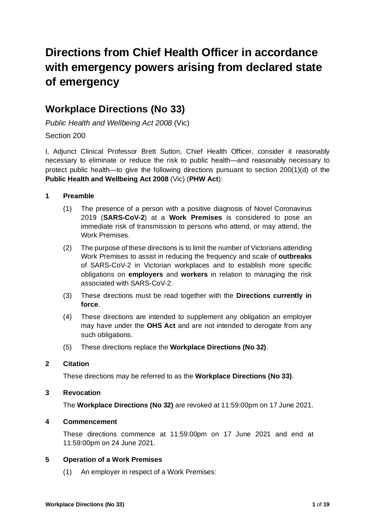# **Directions from Chief Health Officer in accordance with emergency powers arising from declared state of emergency**

# **Workplace Directions (No 33)**

*Public Health and Wellbeing Act 2008* (Vic)

# Section 200

I, Adjunct Clinical Professor Brett Sutton, Chief Health Officer, consider it reasonably necessary to eliminate or reduce the risk to public health—and reasonably necessary to protect public health—to give the following directions pursuant to section 200(1)(d) of the **Public Health and Wellbeing Act 2008** (Vic) (**PHW Act**):

# **1 Preamble**

- (1) The presence of a person with a positive diagnosis of Novel Coronavirus 2019 (**SARS-CoV-2**) at a **Work Premises** is considered to pose an immediate risk of transmission to persons who attend, or may attend, the Work Premises.
- (2) The purpose of these directions is to limit the number of Victorians attending Work Premises to assist in reducing the frequency and scale of **outbreaks** of SARS-CoV-2 in Victorian workplaces and to establish more specific obligations on **employers** and **workers** in relation to managing the risk associated with SARS-CoV-2.
- (3) These directions must be read together with the **Directions currently in force**.
- (4) These directions are intended to supplement any obligation an employer may have under the **OHS Act** and are not intended to derogate from any such obligations.
- (5) These directions replace the **Workplace Directions (No 32)**.

# **2 Citation**

These directions may be referred to as the **Workplace Directions (No 33)**.

# **3 Revocation**

The **Workplace Directions (No 32)** are revoked at 11:59:00pm on 17 June 2021.

# **4 Commencement**

These directions commence at 11:59:00pm on 17 June 2021 and end at 11:59:00pm on 24 June 2021.

# **5 Operation of a Work Premises**

(1) An employer in respect of a Work Premises: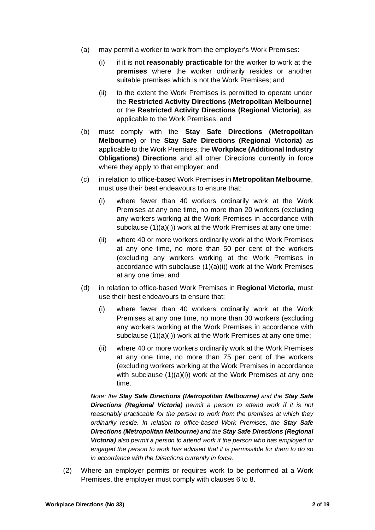- (a) may permit a worker to work from the employer's Work Premises:
	- (i) if it is not **reasonably practicable** for the worker to work at the **premises** where the worker ordinarily resides or another suitable premises which is not the Work Premises; and
	- (ii) to the extent the Work Premises is permitted to operate under the **Restricted Activity Directions (Metropolitan Melbourne)**  or the **Restricted Activity Directions (Regional Victoria)**, as applicable to the Work Premises; and
- (b) must comply with the **Stay Safe Directions (Metropolitan Melbourne)** or the **Stay Safe Directions (Regional Victoria)** as applicable to the Work Premises, the **Workplace (Additional Industry Obligations) Directions** and all other Directions currently in force where they apply to that employer; and
- (c) in relation to office-based Work Premises in **Metropolitan Melbourne**, must use their best endeavours to ensure that:
	- (i) where fewer than 40 workers ordinarily work at the Work Premises at any one time, no more than 20 workers (excluding any workers working at the Work Premises in accordance with subclause (1)(a)(i)) work at the Work Premises at any one time;
	- (ii) where 40 or more workers ordinarily work at the Work Premises at any one time, no more than 50 per cent of the workers (excluding any workers working at the Work Premises in accordance with subclause (1)(a)(i)) work at the Work Premises at any one time; and
- (d) in relation to office-based Work Premises in **Regional Victoria**, must use their best endeavours to ensure that:
	- (i) where fewer than 40 workers ordinarily work at the Work Premises at any one time, no more than 30 workers (excluding any workers working at the Work Premises in accordance with subclause (1)(a)(i)) work at the Work Premises at any one time;
	- (ii) where 40 or more workers ordinarily work at the Work Premises at any one time, no more than 75 per cent of the workers (excluding workers working at the Work Premises in accordance with subclause (1)(a)(i)) work at the Work Premises at any one time.

*Note: the Stay Safe Directions (Metropolitan Melbourne) and the Stay Safe Directions (Regional Victoria) permit a person to attend work if it is not reasonably practicable for the person to work from the premises at which they ordinarily reside. In relation to office-based Work Premises, the Stay Safe Directions (Metropolitan Melbourne) and the Stay Safe Directions (Regional Victoria) also permit a person to attend work if the person who has employed or engaged the person to work has advised that it is permissible for them to do so in accordance with the Directions currently in force.* 

(2) Where an employer permits or requires work to be performed at a Work Premises, the employer must comply with clauses 6 to 8.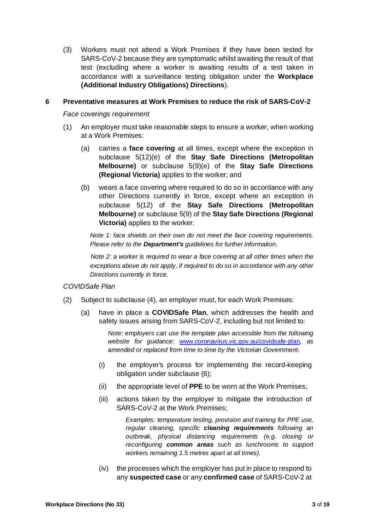(3) Workers must not attend a Work Premises if they have been tested for SARS-CoV-2 because they are symptomatic whilst awaiting the result of that test (excluding where a worker is awaiting results of a test taken in accordance with a surveillance testing obligation under the **Workplace (Additional Industry Obligations) Directions**).

#### **6 Preventative measures at Work Premises to reduce the risk of SARS-CoV-2**

*Face coverings requirement* 

- (1) An employer must take reasonable steps to ensure a worker, when working at a Work Premises:
	- (a) carries a **face covering** at all times, except where the exception in subclause 5(12)(e) of the **Stay Safe Directions (Metropolitan Melbourne)** or subclause 5(9)(e) of the **Stay Safe Directions (Regional Victoria)** applies to the worker; and
	- (b) wears a face covering where required to do so in accordance with any other Directions currently in force, except where an exception in subclause 5(12) of the **Stay Safe Directions (Metropolitan Melbourne)** or subclause 5(9) of the **Stay Safe Directions (Regional Victoria)** applies to the worker.

*Note 1: face shields on their own do not meet the face covering requirements. Please refer to the Department's guidelines for further information*.

*Note 2: a worker is required to wear a face covering at all other times when the exceptions above do not apply, if required to do so in accordance with any other Directions currently in force.* 

#### *COVIDSafe Plan*

- (2) Subject to subclause (4), an employer must, for each Work Premises:
	- (a) have in place a **COVIDSafe Plan**, which addresses the health and safety issues arising from SARS-CoV-2, including but not limited to*:*

*Note: employers can use the template plan accessible from the following website for guidance:* www.coronavirus.vic.gov.au/covidsafe-plan*, as amended or replaced from time to time by the Victorian Government.* 

- (i) the employer's process for implementing the record-keeping obligation under subclause (6);
- (ii) the appropriate level of **PPE** to be worn at the Work Premises;
- (iii) actions taken by the employer to mitigate the introduction of SARS-CoV-2 at the Work Premises;

*Examples: temperature testing, provision and training for PPE use, regular cleaning, specific cleaning requirements following an outbreak, physical distancing requirements (e.g. closing or reconfiguring common areas such as lunchrooms to support workers remaining 1.5 metres apart at all times).* 

(iv) the processes which the employer has put in place to respond to any **suspected case** or any **confirmed case** of SARS-CoV-2 at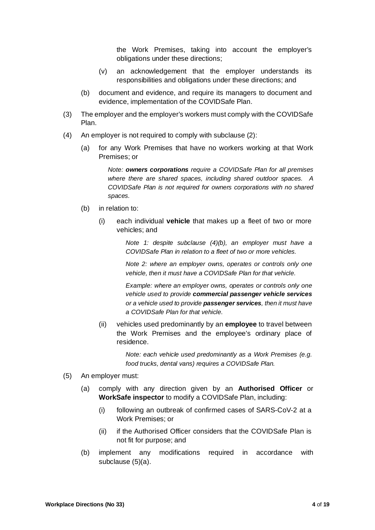the Work Premises, taking into account the employer's obligations under these directions;

- (v) an acknowledgement that the employer understands its responsibilities and obligations under these directions; and
- (b) document and evidence, and require its managers to document and evidence, implementation of the COVIDSafe Plan.
- (3) The employer and the employer's workers must comply with the COVIDSafe Plan.
- (4) An employer is not required to comply with subclause (2):
	- (a) for any Work Premises that have no workers working at that Work Premises; or

*Note: owners corporations require a COVIDSafe Plan for all premises where there are shared spaces, including shared outdoor spaces. A COVIDSafe Plan is not required for owners corporations with no shared spaces.*

- (b) in relation to:
	- (i) each individual **vehicle** that makes up a fleet of two or more vehicles; and

*Note 1: despite subclause (4)(b), an employer must have a COVIDSafe Plan in relation to a fleet of two or more vehicles.* 

*Note 2: where an employer owns, operates or controls only one vehicle, then it must have a COVIDSafe Plan for that vehicle.* 

*Example: where an employer owns, operates or controls only one vehicle used to provide commercial passenger vehicle services or a vehicle used to provide passenger services, then it must have a COVIDSafe Plan for that vehicle.* 

(ii) vehicles used predominantly by an **employee** to travel between the Work Premises and the employee's ordinary place of residence.

> *Note: each vehicle used predominantly as a Work Premises (e.g. food trucks, dental vans) requires a COVIDSafe Plan.*

- (5) An employer must:
	- (a) comply with any direction given by an **Authorised Officer** or **WorkSafe inspector** to modify a COVIDSafe Plan, including:
		- (i) following an outbreak of confirmed cases of SARS-CoV-2 at a Work Premises; or
		- (ii) if the Authorised Officer considers that the COVIDSafe Plan is not fit for purpose; and
	- (b) implement any modifications required in accordance with subclause (5)(a).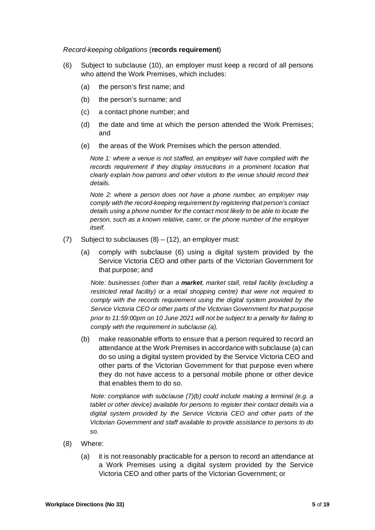#### *Record-keeping obligations* (**records requirement**)

- (6) Subject to subclause (10), an employer must keep a record of all persons who attend the Work Premises, which includes:
	- (a) the person's first name; and
	- (b) the person's surname; and
	- (c) a contact phone number; and
	- (d) the date and time at which the person attended the Work Premises; and
	- (e) the areas of the Work Premises which the person attended.

*Note 1: where a venue is not staffed, an employer will have complied with the records requirement if they display instructions in a prominent location that clearly explain how patrons and other visitors to the venue should record their details.* 

*Note 2: where a person does not have a phone number, an employer may comply with the record-keeping requirement by registering that person's contact details using a phone number for the contact most likely to be able to locate the person, such as a known relative, carer, or the phone number of the employer itself.* 

- (7) Subject to subclauses  $(8) (12)$ , an employer must:
	- (a) comply with subclause (6) using a digital system provided by the Service Victoria CEO and other parts of the Victorian Government for that purpose; and

*Note: businesses (other than a market, market stall, retail facility (excluding a restricted retail facility) or a retail shopping centre) that were not required to comply with the records requirement using the digital system provided by the Service Victoria CEO or other parts of the Victorian Government for that purpose prior to 11:59:00pm on 10 June 2021 will not be subject to a penalty for failing to comply with the requirement in subclause (a).* 

(b) make reasonable efforts to ensure that a person required to record an attendance at the Work Premises in accordance with subclause (a) can do so using a digital system provided by the Service Victoria CEO and other parts of the Victorian Government for that purpose even where they do not have access to a personal mobile phone or other device that enables them to do so.

 *Note: compliance with subclause (7)(b) could include making a terminal (e.g. a tablet or other device) available for persons to register their contact details via a digital system provided by the Service Victoria CEO and other parts of the Victorian Government and staff available to provide assistance to persons to do so.* 

- (8) Where:
	- (a) it is not reasonably practicable for a person to record an attendance at a Work Premises using a digital system provided by the Service Victoria CEO and other parts of the Victorian Government; or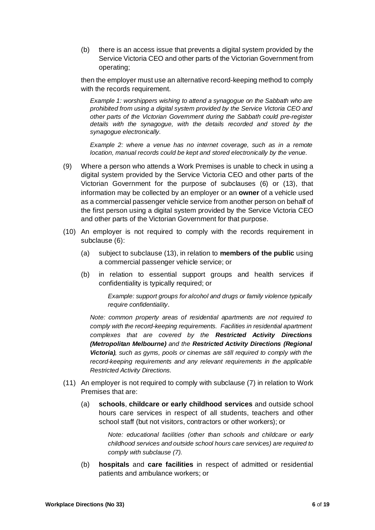(b) there is an access issue that prevents a digital system provided by the Service Victoria CEO and other parts of the Victorian Government from operating;

then the employer must use an alternative record-keeping method to comply with the records requirement.

*Example 1: worshippers wishing to attend a synagogue on the Sabbath who are prohibited from using a digital system provided by the Service Victoria CEO and other parts of the Victorian Government during the Sabbath could pre-register details with the synagogue, with the details recorded and stored by the synagogue electronically.* 

*Example 2: where a venue has no internet coverage, such as in a remote location, manual records could be kept and stored electronically by the venue.* 

- (9) Where a person who attends a Work Premises is unable to check in using a digital system provided by the Service Victoria CEO and other parts of the Victorian Government for the purpose of subclauses (6) or (13), that information may be collected by an employer or an **owner** of a vehicle used as a commercial passenger vehicle service from another person on behalf of the first person using a digital system provided by the Service Victoria CEO and other parts of the Victorian Government for that purpose.
- (10) An employer is not required to comply with the records requirement in subclause (6):
	- (a) subject to subclause (13), in relation to **members of the public** using a commercial passenger vehicle service; or
	- (b) in relation to essential support groups and health services if confidentiality is typically required; or

*Example: support groups for alcohol and drugs or family violence typically require confidentiality*.

*Note: common property areas of residential apartments are not required to comply with the record-keeping requirements. Facilities in residential apartment complexes that are covered by the Restricted Activity Directions (Metropolitan Melbourne) and the Restricted Activity Directions (Regional Victoria), such as gyms, pools or cinemas are still required to comply with the record-keeping requirements and any relevant requirements in the applicable Restricted Activity Directions.* 

- (11) An employer is not required to comply with subclause (7) in relation to Work Premises that are:
	- (a) **schools**, **childcare or early childhood services** and outside school hours care services in respect of all students, teachers and other school staff (but not visitors, contractors or other workers); or

*Note: educational facilities (other than schools and childcare or early childhood services and outside school hours care services) are required to comply with subclause (7).* 

(b) **hospitals** and **care facilities** in respect of admitted or residential patients and ambulance workers; or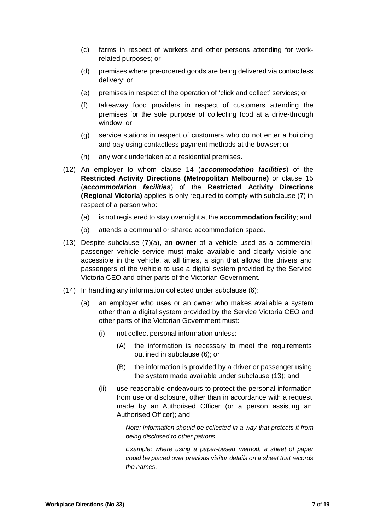- (c) farms in respect of workers and other persons attending for workrelated purposes; or
- (d) premises where pre-ordered goods are being delivered via contactless delivery; or
- (e) premises in respect of the operation of 'click and collect' services; or
- (f) takeaway food providers in respect of customers attending the premises for the sole purpose of collecting food at a drive-through window; or
- (g) service stations in respect of customers who do not enter a building and pay using contactless payment methods at the bowser; or
- (h) any work undertaken at a residential premises.
- (12) An employer to whom clause 14 (*accommodation facilities*) of the **Restricted Activity Directions (Metropolitan Melbourne)** or clause 15 (*accommodation facilities*) of the **Restricted Activity Directions (Regional Victoria)** applies is only required to comply with subclause (7) in respect of a person who:
	- (a) is not registered to stay overnight at the **accommodation facility**; and
	- (b) attends a communal or shared accommodation space.
- (13) Despite subclause (7)(a), an **owner** of a vehicle used as a commercial passenger vehicle service must make available and clearly visible and accessible in the vehicle, at all times, a sign that allows the drivers and passengers of the vehicle to use a digital system provided by the Service Victoria CEO and other parts of the Victorian Government.
- (14) In handling any information collected under subclause (6):
	- (a) an employer who uses or an owner who makes available a system other than a digital system provided by the Service Victoria CEO and other parts of the Victorian Government must:
		- (i) not collect personal information unless:
			- (A) the information is necessary to meet the requirements outlined in subclause (6); or
			- (B) the information is provided by a driver or passenger using the system made available under subclause (13); and
		- (ii) use reasonable endeavours to protect the personal information from use or disclosure, other than in accordance with a request made by an Authorised Officer (or a person assisting an Authorised Officer); and

*Note: information should be collected in a way that protects it from being disclosed to other patrons.* 

*Example: where using a paper-based method, a sheet of paper could be placed over previous visitor details on a sheet that records the names.*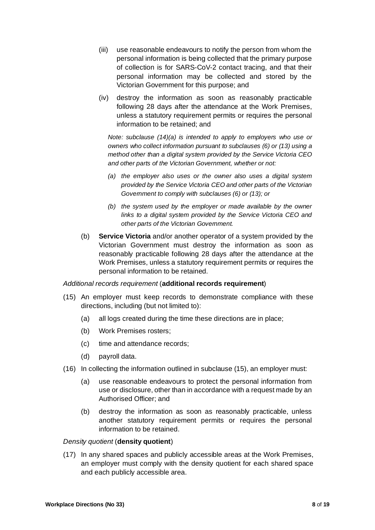- (iii) use reasonable endeavours to notify the person from whom the personal information is being collected that the primary purpose of collection is for SARS-CoV-2 contact tracing, and that their personal information may be collected and stored by the Victorian Government for this purpose; and
- (iv) destroy the information as soon as reasonably practicable following 28 days after the attendance at the Work Premises, unless a statutory requirement permits or requires the personal information to be retained; and

*Note: subclause (14)(a) is intended to apply to employers who use or owners who collect information pursuant to subclauses (6) or (13) using a method other than a digital system provided by the Service Victoria CEO and other parts of the Victorian Government, whether or not:* 

- *(a) the employer also uses or the owner also uses a digital system provided by the Service Victoria CEO and other parts of the Victorian Government to comply with subclauses (6) or (13); or*
- *(b) the system used by the employer or made available by the owner links to a digital system provided by the Service Victoria CEO and other parts of the Victorian Government.*
- (b) **Service Victoria** and/or another operator of a system provided by the Victorian Government must destroy the information as soon as reasonably practicable following 28 days after the attendance at the Work Premises, unless a statutory requirement permits or requires the personal information to be retained.

# *Additional records requirement* (**additional records requirement**)

- (15) An employer must keep records to demonstrate compliance with these directions, including (but not limited to):
	- (a) all logs created during the time these directions are in place;
	- (b) Work Premises rosters;
	- (c) time and attendance records;
	- (d) payroll data.
- (16) In collecting the information outlined in subclause (15), an employer must:
	- (a) use reasonable endeavours to protect the personal information from use or disclosure, other than in accordance with a request made by an Authorised Officer; and
	- (b) destroy the information as soon as reasonably practicable, unless another statutory requirement permits or requires the personal information to be retained.

#### *Density quotient* (**density quotient**)

(17) In any shared spaces and publicly accessible areas at the Work Premises, an employer must comply with the density quotient for each shared space and each publicly accessible area.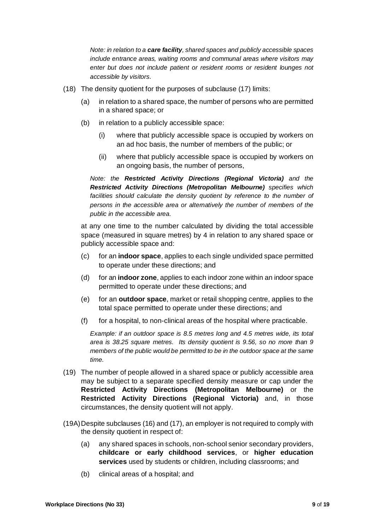*Note: in relation to a care facility, shared spaces and publicly accessible spaces include entrance areas, waiting rooms and communal areas where visitors may enter but does not include patient or resident rooms or resident lounges not accessible by visitors.* 

- (18) The density quotient for the purposes of subclause (17) limits:
	- (a) in relation to a shared space, the number of persons who are permitted in a shared space; or
	- (b) in relation to a publicly accessible space:
		- (i) where that publicly accessible space is occupied by workers on an ad hoc basis, the number of members of the public; or
		- (ii) where that publicly accessible space is occupied by workers on an ongoing basis, the number of persons,

*Note: the Restricted Activity Directions (Regional Victoria) and the Restricted Activity Directions (Metropolitan Melbourne) specifies which*  facilities should calculate the density quotient by reference to the number of *persons in the accessible area or alternatively the number of members of the public in the accessible area.* 

at any one time to the number calculated by dividing the total accessible space (measured in square metres) by 4 in relation to any shared space or publicly accessible space and:

- (c) for an **indoor space**, applies to each single undivided space permitted to operate under these directions; and
- (d) for an **indoor zone**, applies to each indoor zone within an indoor space permitted to operate under these directions; and
- (e) for an **outdoor space**, market or retail shopping centre, applies to the total space permitted to operate under these directions; and
- (f) for a hospital, to non-clinical areas of the hospital where practicable.

*Example: if an outdoor space is 8.5 metres long and 4.5 metres wide, its total area is 38.25 square metres. Its density quotient is 9.56, so no more than 9 members of the public would be permitted to be in the outdoor space at the same time.* 

- (19) The number of people allowed in a shared space or publicly accessible area may be subject to a separate specified density measure or cap under the **Restricted Activity Directions (Metropolitan Melbourne)** or the **Restricted Activity Directions (Regional Victoria)** and, in those circumstances, the density quotient will not apply.
- (19A)Despite subclauses (16) and (17), an employer is not required to comply with the density quotient in respect of:
	- (a) any shared spaces in schools, non-school senior secondary providers, **childcare or early childhood services**, or **higher education services** used by students or children, including classrooms; and
	- (b) clinical areas of a hospital; and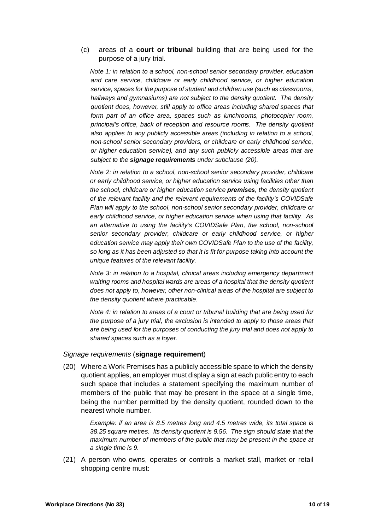#### (c) areas of a **court or tribunal** building that are being used for the purpose of a jury trial.

*Note 1: in relation to a school, non-school senior secondary provider, education and care service, childcare or early childhood service, or higher education service, spaces for the purpose of student and children use (such as classrooms, hallways and gymnasiums) are not subject to the density quotient. The density quotient does, however, still apply to office areas including shared spaces that form part of an office area, spaces such as lunchrooms, photocopier room, principal's office, back of reception and resource rooms. The density quotient also applies to any publicly accessible areas (including in relation to a school, non-school senior secondary providers, or childcare or early childhood service, or higher education service), and any such publicly accessible areas that are subject to the signage requirements under subclause (20).* 

*Note 2: in relation to a school, non-school senior secondary provider, childcare or early childhood service, or higher education service using facilities other than the school, childcare or higher education service premises, the density quotient of the relevant facility and the relevant requirements of the facility's COVIDSafe Plan will apply to the school, non-school senior secondary provider, childcare or early childhood service, or higher education service when using that facility. As an alternative to using the facility's COVIDSafe Plan, the school, non-school senior secondary provider, childcare or early childhood service, or higher education service may apply their own COVIDSafe Plan to the use of the facility, so long as it has been adjusted so that it is fit for purpose taking into account the unique features of the relevant facility.* 

*Note 3: in relation to a hospital, clinical areas including emergency department waiting rooms and hospital wards are areas of a hospital that the density quotient does not apply to, however, other non-clinical areas of the hospital are subject to the density quotient where practicable.* 

*Note 4: in relation to areas of a court or tribunal building that are being used for the purpose of a jury trial, the exclusion is intended to apply to those areas that are being used for the purposes of conducting the jury trial and does not apply to shared spaces such as a foyer.* 

#### *Signage requirements* (**signage requirement**)

(20) Where a Work Premises has a publicly accessible space to which the density quotient applies, an employer must display a sign at each public entry to each such space that includes a statement specifying the maximum number of members of the public that may be present in the space at a single time, being the number permitted by the density quotient, rounded down to the nearest whole number.

> *Example: if an area is 8.5 metres long and 4.5 metres wide, its total space is 38.25 square metres. Its density quotient is 9.56. The sign should state that the maximum number of members of the public that may be present in the space at a single time is 9.*

(21) A person who owns, operates or controls a market stall, market or retail shopping centre must: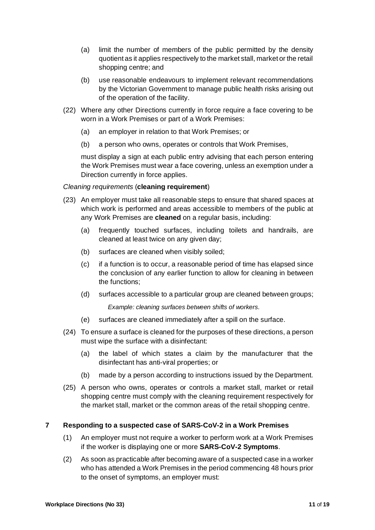- (a) limit the number of members of the public permitted by the density quotient as it applies respectively to the market stall, market or the retail shopping centre; and
- (b) use reasonable endeavours to implement relevant recommendations by the Victorian Government to manage public health risks arising out of the operation of the facility.
- (22) Where any other Directions currently in force require a face covering to be worn in a Work Premises or part of a Work Premises:
	- (a) an employer in relation to that Work Premises; or
	- (b) a person who owns, operates or controls that Work Premises,

must display a sign at each public entry advising that each person entering the Work Premises must wear a face covering, unless an exemption under a Direction currently in force applies.

*Cleaning requirements* (**cleaning requirement**)

- (23) An employer must take all reasonable steps to ensure that shared spaces at which work is performed and areas accessible to members of the public at any Work Premises are **cleaned** on a regular basis, including:
	- (a) frequently touched surfaces, including toilets and handrails, are cleaned at least twice on any given day;
	- (b) surfaces are cleaned when visibly soiled;
	- (c) if a function is to occur, a reasonable period of time has elapsed since the conclusion of any earlier function to allow for cleaning in between the functions;
	- (d) surfaces accessible to a particular group are cleaned between groups;

*Example: cleaning surfaces between shifts of workers.*

- (e) surfaces are cleaned immediately after a spill on the surface.
- (24) To ensure a surface is cleaned for the purposes of these directions, a person must wipe the surface with a disinfectant:
	- (a) the label of which states a claim by the manufacturer that the disinfectant has anti-viral properties; or
	- (b) made by a person according to instructions issued by the Department.
- (25) A person who owns, operates or controls a market stall, market or retail shopping centre must comply with the cleaning requirement respectively for the market stall, market or the common areas of the retail shopping centre.

#### **7 Responding to a suspected case of SARS-CoV-2 in a Work Premises**

- (1) An employer must not require a worker to perform work at a Work Premises if the worker is displaying one or more **SARS-CoV-2 Symptoms**.
- (2) As soon as practicable after becoming aware of a suspected case in a worker who has attended a Work Premises in the period commencing 48 hours prior to the onset of symptoms, an employer must: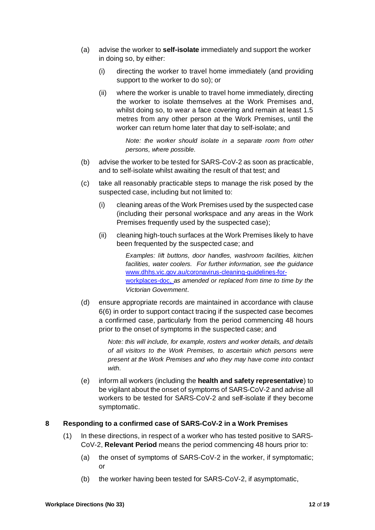- (a) advise the worker to **self-isolate** immediately and support the worker in doing so, by either:
	- (i) directing the worker to travel home immediately (and providing support to the worker to do so); or
	- (ii) where the worker is unable to travel home immediately, directing the worker to isolate themselves at the Work Premises and, whilst doing so, to wear a face covering and remain at least 1.5 metres from any other person at the Work Premises, until the worker can return home later that day to self-isolate; and

*Note: the worker should isolate in a separate room from other persons, where possible.* 

- (b) advise the worker to be tested for SARS-CoV-2 as soon as practicable, and to self-isolate whilst awaiting the result of that test; and
- (c) take all reasonably practicable steps to manage the risk posed by the suspected case, including but not limited to:
	- (i) cleaning areas of the Work Premises used by the suspected case (including their personal workspace and any areas in the Work Premises frequently used by the suspected case);
	- (ii) cleaning high-touch surfaces at the Work Premises likely to have been frequented by the suspected case; and

*Examples: lift buttons, door handles, washroom facilities, kitchen facilities, water coolers. For further information, see the guidance*  www.dhhs.vic.gov.au/coronavirus-cleaning-guidelines-forworkplaces-doc, *as amended or replaced from time to time by the Victorian Government*.

(d) ensure appropriate records are maintained in accordance with clause 6(6) in order to support contact tracing if the suspected case becomes a confirmed case, particularly from the period commencing 48 hours prior to the onset of symptoms in the suspected case; and

> *Note: this will include, for example, rosters and worker details, and details of all visitors to the Work Premises, to ascertain which persons were present at the Work Premises and who they may have come into contact with.*

(e) inform all workers (including the **health and safety representative**) to be vigilant about the onset of symptoms of SARS-CoV-2 and advise all workers to be tested for SARS-CoV-2 and self-isolate if they become symptomatic.

# **8 Responding to a confirmed case of SARS-CoV-2 in a Work Premises**

- (1) In these directions, in respect of a worker who has tested positive to SARS-CoV-2, **Relevant Period** means the period commencing 48 hours prior to:
	- (a) the onset of symptoms of SARS-CoV-2 in the worker, if symptomatic; or
	- (b) the worker having been tested for SARS-CoV-2, if asymptomatic,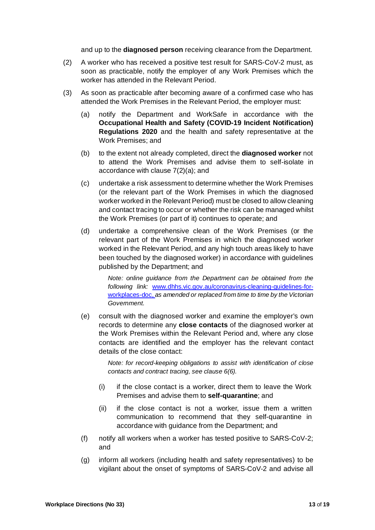and up to the **diagnosed person** receiving clearance from the Department.

- (2) A worker who has received a positive test result for SARS-CoV-2 must, as soon as practicable, notify the employer of any Work Premises which the worker has attended in the Relevant Period.
- (3) As soon as practicable after becoming aware of a confirmed case who has attended the Work Premises in the Relevant Period, the employer must:
	- (a) notify the Department and WorkSafe in accordance with the **Occupational Health and Safety (COVID-19 Incident Notification) Regulations 2020** and the health and safety representative at the Work Premises; and
	- (b) to the extent not already completed, direct the **diagnosed worker** not to attend the Work Premises and advise them to self-isolate in accordance with clause 7(2)(a); and
	- (c) undertake a risk assessment to determine whether the Work Premises (or the relevant part of the Work Premises in which the diagnosed worker worked in the Relevant Period) must be closed to allow cleaning and contact tracing to occur or whether the risk can be managed whilst the Work Premises (or part of it) continues to operate; and
	- (d) undertake a comprehensive clean of the Work Premises (or the relevant part of the Work Premises in which the diagnosed worker worked in the Relevant Period, and any high touch areas likely to have been touched by the diagnosed worker) in accordance with guidelines published by the Department; and

*Note: online guidance from the Department can be obtained from the following link:* www.dhhs.vic.gov.au/coronavirus-cleaning-guidelines-forworkplaces-doc, *as amended or replaced from time to time by the Victorian Government*.

(e) consult with the diagnosed worker and examine the employer's own records to determine any **close contacts** of the diagnosed worker at the Work Premises within the Relevant Period and, where any close contacts are identified and the employer has the relevant contact details of the close contact:

> *Note: for record-keeping obligations to assist with identification of close contacts and contract tracing, see clause 6(6).*

- (i) if the close contact is a worker, direct them to leave the Work Premises and advise them to **self-quarantine**; and
- (ii) if the close contact is not a worker, issue them a written communication to recommend that they self-quarantine in accordance with guidance from the Department; and
- (f) notify all workers when a worker has tested positive to SARS-CoV-2; and
- (g) inform all workers (including health and safety representatives) to be vigilant about the onset of symptoms of SARS-CoV-2 and advise all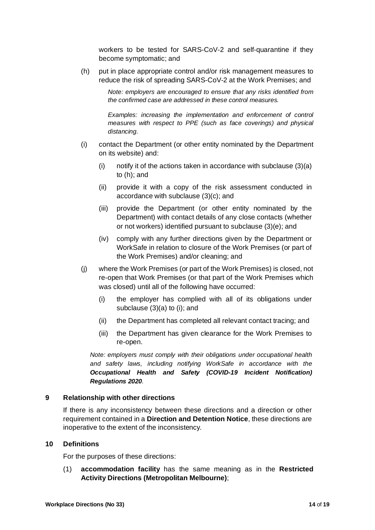workers to be tested for SARS-CoV-2 and self-quarantine if they become symptomatic; and

(h) put in place appropriate control and/or risk management measures to reduce the risk of spreading SARS-CoV-2 at the Work Premises; and

> *Note: employers are encouraged to ensure that any risks identified from the confirmed case are addressed in these control measures.*

> *Examples: increasing the implementation and enforcement of control measures with respect to PPE (such as face coverings) and physical distancing.*

- (i) contact the Department (or other entity nominated by the Department on its website) and:
	- (i) notify it of the actions taken in accordance with subclause (3)(a) to (h); and
	- (ii) provide it with a copy of the risk assessment conducted in accordance with subclause (3)(c); and
	- (iii) provide the Department (or other entity nominated by the Department) with contact details of any close contacts (whether or not workers) identified pursuant to subclause (3)(e); and
	- (iv) comply with any further directions given by the Department or WorkSafe in relation to closure of the Work Premises (or part of the Work Premises) and/or cleaning; and
- (j) where the Work Premises (or part of the Work Premises) is closed, not re-open that Work Premises (or that part of the Work Premises which was closed) until all of the following have occurred:
	- (i) the employer has complied with all of its obligations under subclause (3)(a) to (i); and
	- (ii) the Department has completed all relevant contact tracing; and
	- (iii) the Department has given clearance for the Work Premises to re-open.

*Note: employers must comply with their obligations under occupational health and safety laws, including notifying WorkSafe in accordance with the Occupational Health and Safety (COVID-19 Incident Notification) Regulations 2020.* 

#### **9 Relationship with other directions**

If there is any inconsistency between these directions and a direction or other requirement contained in a **Direction and Detention Notice**, these directions are inoperative to the extent of the inconsistency.

#### **10 Definitions**

For the purposes of these directions:

(1) **accommodation facility** has the same meaning as in the **Restricted Activity Directions (Metropolitan Melbourne)**;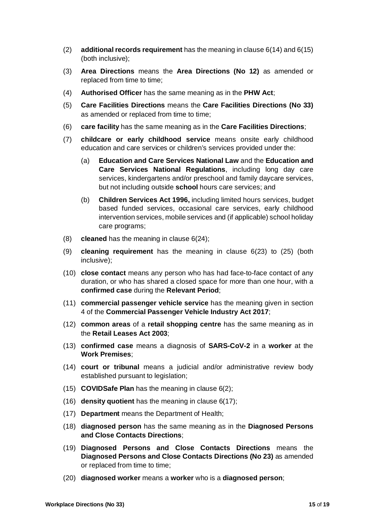- (2) **additional records requirement** has the meaning in clause 6(14) and 6(15) (both inclusive);
- (3) **Area Directions** means the **Area Directions (No 12)** as amended or replaced from time to time;
- (4) **Authorised Officer** has the same meaning as in the **PHW Act**;
- (5) **Care Facilities Directions** means the **Care Facilities Directions (No 33)**  as amended or replaced from time to time;
- (6) **care facility** has the same meaning as in the **Care Facilities Directions**;
- (7) **childcare or early childhood service** means onsite early childhood education and care services or children's services provided under the:
	- (a) **Education and Care Services National Law** and the **Education and Care Services National Regulations**, including long day care services, kindergartens and/or preschool and family daycare services, but not including outside **school** hours care services; and
	- (b) **Children Services Act 1996,** including limited hours services, budget based funded services, occasional care services, early childhood intervention services, mobile services and (if applicable) school holiday care programs;
- (8) **cleaned** has the meaning in clause 6(24);
- (9) **cleaning requirement** has the meaning in clause 6(23) to (25) (both inclusive);
- (10) **close contact** means any person who has had face-to-face contact of any duration, or who has shared a closed space for more than one hour, with a **confirmed case** during the **Relevant Period**;
- (11) **commercial passenger vehicle service** has the meaning given in section 4 of the **Commercial Passenger Vehicle Industry Act 2017**;
- (12) **common areas** of a **retail shopping centre** has the same meaning as in the **Retail Leases Act 2003**;
- (13) **confirmed case** means a diagnosis of **SARS-CoV-2** in a **worker** at the **Work Premises**;
- (14) **court or tribunal** means a judicial and/or administrative review body established pursuant to legislation;
- (15) **COVIDSafe Plan** has the meaning in clause 6(2);
- (16) **density quotient** has the meaning in clause 6(17);
- (17) **Department** means the Department of Health;
- (18) **diagnosed person** has the same meaning as in the **Diagnosed Persons and Close Contacts Directions**;
- (19) **Diagnosed Persons and Close Contacts Directions** means the **Diagnosed Persons and Close Contacts Directions (No 23)** as amended or replaced from time to time;
- (20) **diagnosed worker** means a **worker** who is a **diagnosed person**;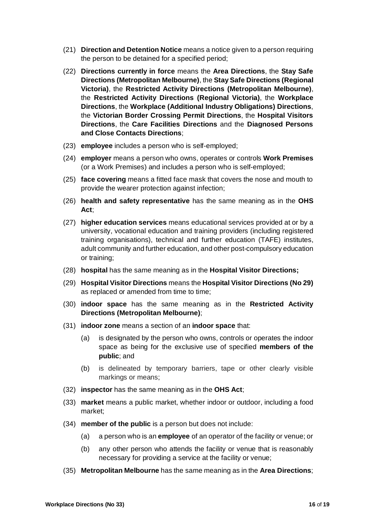- (21) **Direction and Detention Notice** means a notice given to a person requiring the person to be detained for a specified period;
- (22) **Directions currently in force** means the **Area Directions**, the **Stay Safe Directions (Metropolitan Melbourne)**, the **Stay Safe Directions (Regional Victoria)**, the **Restricted Activity Directions (Metropolitan Melbourne)**, the **Restricted Activity Directions (Regional Victoria)**, the **Workplace Directions**, the **Workplace (Additional Industry Obligations) Directions**, the **Victorian Border Crossing Permit Directions**, the **Hospital Visitors Directions**, the **Care Facilities Directions** and the **Diagnosed Persons and Close Contacts Directions**;
- (23) **employee** includes a person who is self-employed;
- (24) **employer** means a person who owns, operates or controls **Work Premises** (or a Work Premises) and includes a person who is self-employed;
- (25) **face covering** means a fitted face mask that covers the nose and mouth to provide the wearer protection against infection;
- (26) **health and safety representative** has the same meaning as in the **OHS Act**;
- (27) **higher education services** means educational services provided at or by a university, vocational education and training providers (including registered training organisations), technical and further education (TAFE) institutes, adult community and further education, and other post-compulsory education or training;
- (28) **hospital** has the same meaning as in the **Hospital Visitor Directions;**
- (29) **Hospital Visitor Directions** means the **Hospital Visitor Directions (No 29)** as replaced or amended from time to time;
- (30) **indoor space** has the same meaning as in the **Restricted Activity Directions (Metropolitan Melbourne)**;
- (31) **indoor zone** means a section of an **indoor space** that:
	- (a) is designated by the person who owns, controls or operates the indoor space as being for the exclusive use of specified **members of the public**; and
	- (b) is delineated by temporary barriers, tape or other clearly visible markings or means;
- (32) **inspector** has the same meaning as in the **OHS Act**;
- (33) **market** means a public market, whether indoor or outdoor, including a food market;
- (34) **member of the public** is a person but does not include:
	- (a) a person who is an **employee** of an operator of the facility or venue; or
	- (b) any other person who attends the facility or venue that is reasonably necessary for providing a service at the facility or venue;
- (35) **Metropolitan Melbourne** has the same meaning as in the **Area Directions**;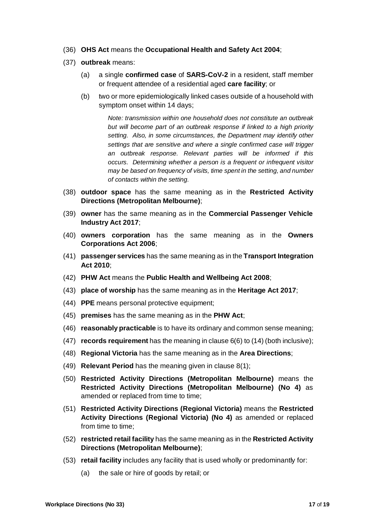- (36) **OHS Act** means the **Occupational Health and Safety Act 2004**;
- (37) **outbreak** means:
	- (a) a single **confirmed case** of **SARS-CoV-2** in a resident, staff member or frequent attendee of a residential aged **care facility**; or
	- (b) two or more epidemiologically linked cases outside of a household with symptom onset within 14 days;

*Note: transmission within one household does not constitute an outbreak*  but will become part of an outbreak response if linked to a high priority *setting. Also, in some circumstances, the Department may identify other settings that are sensitive and where a single confirmed case will trigger an outbreak response. Relevant parties will be informed if this occurs. Determining whether a person is a frequent or infrequent visitor may be based on frequency of visits, time spent in the setting, and number of contacts within the setting.* 

- (38) **outdoor space** has the same meaning as in the **Restricted Activity Directions (Metropolitan Melbourne)**;
- (39) **owner** has the same meaning as in the **Commercial Passenger Vehicle Industry Act 2017**;
- (40) **owners corporation** has the same meaning as in the **Owners Corporations Act 2006**;
- (41) **passenger services** has the same meaning as in the **Transport Integration Act 2010**;
- (42) **PHW Act** means the **Public Health and Wellbeing Act 2008**;
- (43) **place of worship** has the same meaning as in the **Heritage Act 2017**;
- (44) **PPE** means personal protective equipment;
- (45) **premises** has the same meaning as in the **PHW Act**;
- (46) **reasonably practicable** is to have its ordinary and common sense meaning;
- (47) **records requirement** has the meaning in clause 6(6) to (14) (both inclusive);
- (48) **Regional Victoria** has the same meaning as in the **Area Directions**;
- (49) **Relevant Period** has the meaning given in clause 8(1);
- (50) **Restricted Activity Directions (Metropolitan Melbourne)** means the **Restricted Activity Directions (Metropolitan Melbourne) (No 4)** as amended or replaced from time to time;
- (51) **Restricted Activity Directions (Regional Victoria)** means the **Restricted Activity Directions (Regional Victoria) (No 4)** as amended or replaced from time to time;
- (52) **restricted retail facility** has the same meaning as in the **Restricted Activity Directions (Metropolitan Melbourne)**;
- (53) **retail facility** includes any facility that is used wholly or predominantly for:
	- (a) the sale or hire of goods by retail; or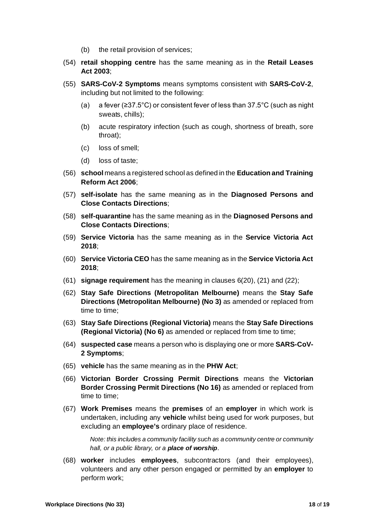- (b) the retail provision of services;
- (54) **retail shopping centre** has the same meaning as in the **Retail Leases Act 2003**;
- (55) **SARS-CoV-2 Symptoms** means symptoms consistent with **SARS-CoV-2**, including but not limited to the following:
	- (a) a fever (≥37.5°C) or consistent fever of less than 37.5°C (such as night sweats, chills);
	- (b) acute respiratory infection (such as cough, shortness of breath, sore throat);
	- (c) loss of smell;
	- (d) loss of taste;
- (56) **school** means a registered school as defined in the **Education and Training Reform Act 2006**;
- (57) **self-isolate** has the same meaning as in the **Diagnosed Persons and Close Contacts Directions**;
- (58) **self-quarantine** has the same meaning as in the **Diagnosed Persons and Close Contacts Directions**;
- (59) **Service Victoria** has the same meaning as in the **Service Victoria Act 2018**;
- (60) **Service Victoria CEO** has the same meaning as in the **Service Victoria Act 2018**;
- (61) **signage requirement** has the meaning in clauses 6(20), (21) and (22);
- (62) **Stay Safe Directions (Metropolitan Melbourne)** means the **Stay Safe Directions (Metropolitan Melbourne) (No 3)** as amended or replaced from time to time;
- (63) **Stay Safe Directions (Regional Victoria)** means the **Stay Safe Directions (Regional Victoria) (No 6)** as amended or replaced from time to time;
- (64) **suspected case** means a person who is displaying one or more **SARS-CoV-2 Symptoms**;
- (65) **vehicle** has the same meaning as in the **PHW Act**;
- (66) **Victorian Border Crossing Permit Directions** means the **Victorian Border Crossing Permit Directions (No 16)** as amended or replaced from time to time;
- (67) **Work Premises** means the **premises** of an **employer** in which work is undertaken, including any **vehicle** whilst being used for work purposes, but excluding an **employee's** ordinary place of residence.

*Note: this includes a community facility such as a community centre or community hall, or a public library, or a place of worship*.

(68) **worker** includes **employees**, subcontractors (and their employees), volunteers and any other person engaged or permitted by an **employer** to perform work;